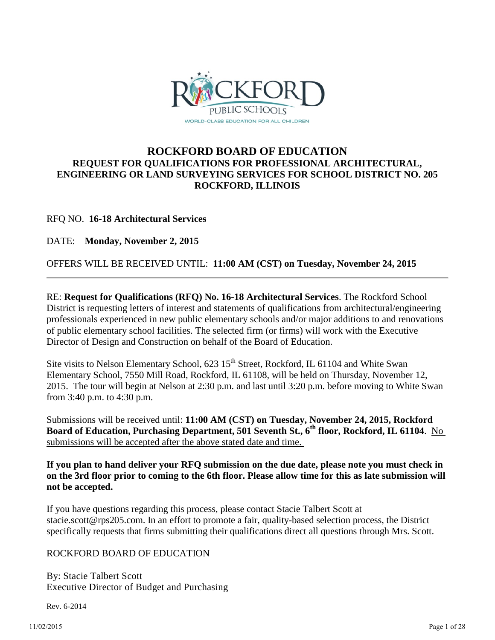

#### **ROCKFORD BOARD OF EDUCATION REQUEST FOR QUALIFICATIONS FOR PROFESSIONAL ARCHITECTURAL, ENGINEERING OR LAND SURVEYING SERVICES FOR SCHOOL DISTRICT NO. 205 ROCKFORD, ILLINOIS**

#### RFQ NO. **16-18 Architectural Services**

DATE: **Monday, November 2, 2015**

#### OFFERS WILL BE RECEIVED UNTIL: **11:00 AM (CST) on Tuesday, November 24, 2015**

RE: **Request for Qualifications (RFQ) No. 16-18 Architectural Services**. The Rockford School District is requesting letters of interest and statements of qualifications from architectural/engineering professionals experienced in new public elementary schools and/or major additions to and renovations of public elementary school facilities. The selected firm (or firms) will work with the Executive Director of Design and Construction on behalf of the Board of Education.

Site visits to Nelson Elementary School, 623 15<sup>th</sup> Street, Rockford, IL 61104 and White Swan Elementary School, 7550 Mill Road, Rockford, IL 61108, will be held on Thursday, November 12, 2015. The tour will begin at Nelson at 2:30 p.m. and last until 3:20 p.m. before moving to White Swan from 3:40 p.m. to 4:30 p.m.

Submissions will be received until: **11:00 AM (CST) on Tuesday, November 24, 2015, Rockford**  Board of Education, Purchasing Department, 501 Seventh St., 6<sup>th</sup> floor, Rockford, IL 61104. No submissions will be accepted after the above stated date and time.

**If you plan to hand deliver your RFQ submission on the due date, please note you must check in on the 3rd floor prior to coming to the 6th floor. Please allow time for this as late submission will not be accepted.**

If you have questions regarding this process, please contact Stacie Talbert Scott at stacie.scott@rps205.com. In an effort to promote a fair, quality-based selection process, the District specifically requests that firms submitting their qualifications direct all questions through Mrs. Scott.

#### ROCKFORD BOARD OF EDUCATION

By: Stacie Talbert Scott Executive Director of Budget and Purchasing

Rev. 6-2014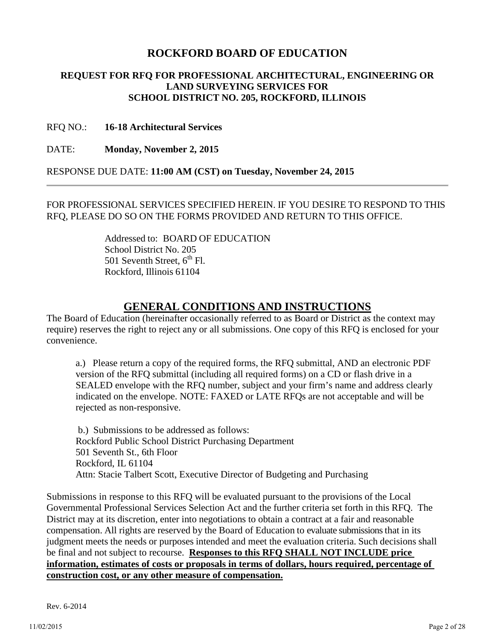#### **ROCKFORD BOARD OF EDUCATION**

#### **REQUEST FOR RFQ FOR PROFESSIONAL ARCHITECTURAL, ENGINEERING OR LAND SURVEYING SERVICES FOR SCHOOL DISTRICT NO. 205, ROCKFORD, ILLINOIS**

RFQ NO.: **16-18 Architectural Services**

DATE: **Monday, November 2, 2015** 

RESPONSE DUE DATE: **11:00 AM (CST) on Tuesday, November 24, 2015**

#### FOR PROFESSIONAL SERVICES SPECIFIED HEREIN. IF YOU DESIRE TO RESPOND TO THIS RFQ, PLEASE DO SO ON THE FORMS PROVIDED AND RETURN TO THIS OFFICE.

Addressed to: BOARD OF EDUCATION School District No. 205 501 Seventh Street,  $6^{th}$  Fl. Rockford, Illinois 61104

### **GENERAL CONDITIONS AND INSTRUCTIONS**

The Board of Education (hereinafter occasionally referred to as Board or District as the context may require) reserves the right to reject any or all submissions. One copy of this RFQ is enclosed for your convenience.

a.) Please return a copy of the required forms, the RFQ submittal, AND an electronic PDF version of the RFQ submittal (including all required forms) on a CD or flash drive in a SEALED envelope with the RFQ number, subject and your firm's name and address clearly indicated on the envelope. NOTE: FAXED or LATE RFQs are not acceptable and will be rejected as non-responsive.

 b.) Submissions to be addressed as follows: Rockford Public School District Purchasing Department 501 Seventh St., 6th Floor Rockford, IL 61104 Attn: Stacie Talbert Scott, Executive Director of Budgeting and Purchasing

Submissions in response to this RFQ will be evaluated pursuant to the provisions of the Local Governmental Professional Services Selection Act and the further criteria set forth in this RFQ. The District may at its discretion, enter into negotiations to obtain a contract at a fair and reasonable compensation. All rights are reserved by the Board of Education to evaluate submissions that in its judgment meets the needs or purposes intended and meet the evaluation criteria. Such decisions shall be final and not subject to recourse. **Responses to this RFQ SHALL NOT INCLUDE price information, estimates of costs or proposals in terms of dollars, hours required, percentage of construction cost, or any other measure of compensation.** 

Rev. 6-2014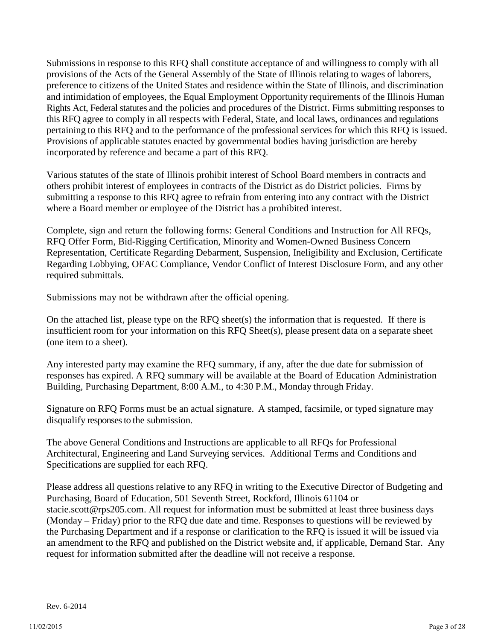Submissions in response to this RFQ shall constitute acceptance of and willingness to comply with all provisions of the Acts of the General Assembly of the State of Illinois relating to wages of laborers, preference to citizens of the United States and residence within the State of Illinois, and discrimination and intimidation of employees, the Equal Employment Opportunity requirements of the Illinois Human Rights Act, Federal statutes and the policies and procedures of the District. Firms submitting responses to this RFQ agree to comply in all respects with Federal, State, and local laws, ordinances and regulations pertaining to this RFQ and to the performance of the professional services for which this RFQ is issued. Provisions of applicable statutes enacted by governmental bodies having jurisdiction are hereby incorporated by reference and became a part of this RFQ.

Various statutes of the state of Illinois prohibit interest of School Board members in contracts and others prohibit interest of employees in contracts of the District as do District policies. Firms by submitting a response to this RFQ agree to refrain from entering into any contract with the District where a Board member or employee of the District has a prohibited interest.

Complete, sign and return the following forms: General Conditions and Instruction for All RFQs, RFQ Offer Form, Bid-Rigging Certification, Minority and Women-Owned Business Concern Representation, Certificate Regarding Debarment, Suspension, Ineligibility and Exclusion, Certificate Regarding Lobbying, OFAC Compliance, Vendor Conflict of Interest Disclosure Form, and any other required submittals.

Submissions may not be withdrawn after the official opening.

On the attached list, please type on the RFQ sheet(s) the information that is requested. If there is insufficient room for your information on this RFQ Sheet(s), please present data on a separate sheet (one item to a sheet).

Any interested party may examine the RFQ summary, if any, after the due date for submission of responses has expired. A RFQ summary will be available at the Board of Education Administration Building, Purchasing Department, 8:00 A.M., to 4:30 P.M., Monday through Friday.

Signature on RFQ Forms must be an actual signature. A stamped, facsimile, or typed signature may disqualify responses to the submission.

The above General Conditions and Instructions are applicable to all RFQs for Professional Architectural, Engineering and Land Surveying services. Additional Terms and Conditions and Specifications are supplied for each RFQ.

Please address all questions relative to any RFQ in writing to the Executive Director of Budgeting and Purchasing, Board of Education, 501 Seventh Street, Rockford, Illinois 61104 or stacie.scott@rps205.com. All request for information must be submitted at least three business days (Monday – Friday) prior to the RFQ due date and time. Responses to questions will be reviewed by the Purchasing Department and if a response or clarification to the RFQ is issued it will be issued via an amendment to the RFQ and published on the District website and, if applicable, Demand Star. Any request for information submitted after the deadline will not receive a response.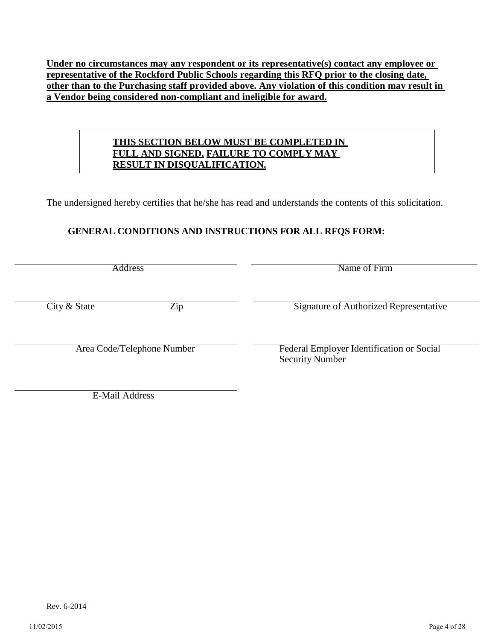**Under no circumstances may any respondent or its representative(s) contact any employee or representative of the Rockford Public Schools regarding this RFQ prior to the closing date, other than to the Purchasing staff provided above. Any violation of this condition may result in a Vendor being considered non-compliant and ineligible for award.** 

#### **THIS SECTION BELOW MUST BE COMPLETED IN FULL AND SIGNED, FAILURE TO COMPLY MAY RESULT IN DISQUALIFICATION.**

The undersigned hereby certifies that he/she has read and understands the contents of this solicitation.

#### **GENERAL CONDITIONS AND INSTRUCTIONS FOR ALL RFQS FORM:**

| <b>Address</b>             | Name of Firm                                                        |  |  |
|----------------------------|---------------------------------------------------------------------|--|--|
| City & State<br>Zip        | Signature of Authorized Representative                              |  |  |
| Area Code/Telephone Number | Federal Employer Identification or Social<br><b>Security Number</b> |  |  |
|                            |                                                                     |  |  |

E-Mail Address

Rev. 6-2014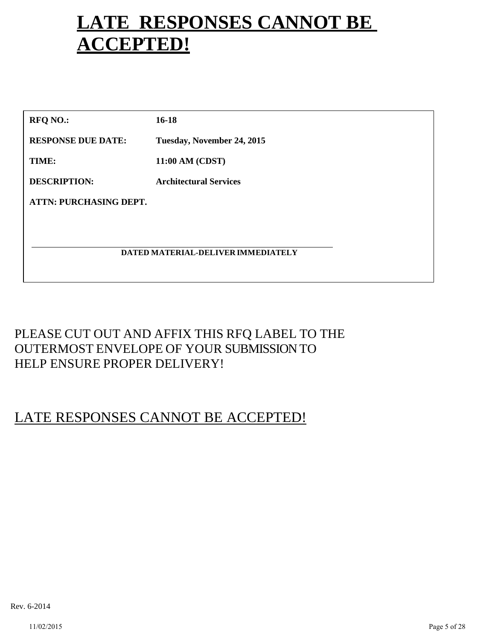# **LATE RESPONSES CANNOT BE ACCEPTED!**

| <b>RFQ NO.:</b>                    | $16-18$                       |  |  |  |
|------------------------------------|-------------------------------|--|--|--|
| <b>RESPONSE DUE DATE:</b>          | Tuesday, November 24, 2015    |  |  |  |
| TIME:                              | 11:00 AM (CDST)               |  |  |  |
| <b>DESCRIPTION:</b>                | <b>Architectural Services</b> |  |  |  |
| <b>ATTN: PURCHASING DEPT.</b>      |                               |  |  |  |
|                                    |                               |  |  |  |
|                                    |                               |  |  |  |
| DATED MATERIAL-DELIVER IMMEDIATELY |                               |  |  |  |
|                                    |                               |  |  |  |

# PLEASE CUT OUT AND AFFIX THIS RFQ LABEL TO THE OUTERMOST ENVELOPE OF YOUR SUBMISSION TO HELP ENSURE PROPER DELIVERY!

# LATE RESPONSES CANNOT BE ACCEPTED!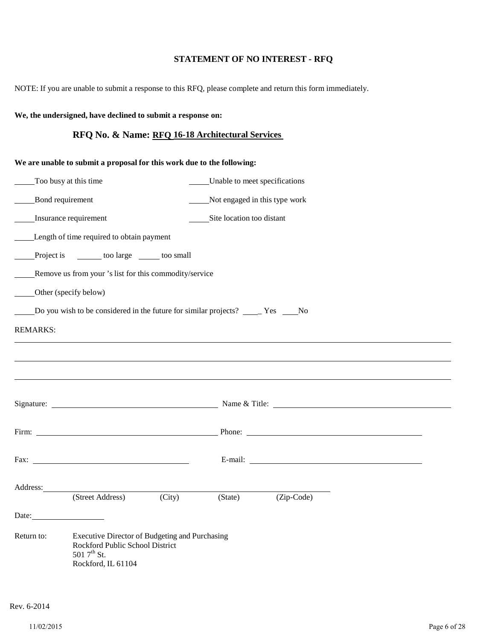#### **STATEMENT OF NO INTEREST - RFQ**

NOTE: If you are unable to submit a response to this RFQ, please complete and return this form immediately.

**We, the undersigned, have declined to submit a response on:**

#### **RFQ No. & Name: RFQ 16-18 Architectural Services**

|                 | We are unable to submit a proposal for this work due to the following:                                                             |                     |                               |              |  |
|-----------------|------------------------------------------------------------------------------------------------------------------------------------|---------------------|-------------------------------|--------------|--|
|                 | Too busy at this time                                                                                                              |                     | Unable to meet specifications |              |  |
|                 | Bond requirement                                                                                                                   |                     | Not engaged in this type work |              |  |
|                 | Insurance requirement                                                                                                              |                     | Site location too distant     |              |  |
|                 | Length of time required to obtain payment                                                                                          |                     |                               |              |  |
|                 | Project is ________ too large _______ too small                                                                                    |                     |                               |              |  |
|                 | Remove us from your 's list for this commodity/service                                                                             |                     |                               |              |  |
|                 | Other (specify below)                                                                                                              |                     |                               |              |  |
|                 | Do you wish to be considered in the future for similar projects? ________ Yes ______ No                                            |                     |                               |              |  |
| <b>REMARKS:</b> |                                                                                                                                    |                     |                               |              |  |
|                 |                                                                                                                                    |                     |                               |              |  |
|                 |                                                                                                                                    |                     |                               |              |  |
|                 |                                                                                                                                    |                     |                               |              |  |
|                 |                                                                                                                                    |                     |                               |              |  |
|                 |                                                                                                                                    |                     |                               |              |  |
|                 |                                                                                                                                    |                     |                               |              |  |
|                 | Fax: $\qquad \qquad$                                                                                                               |                     |                               |              |  |
|                 |                                                                                                                                    |                     |                               |              |  |
|                 | Address: <u>(Street Address)</u>                                                                                                   | $\overline{(City)}$ | (State)                       | $(Zip-Code)$ |  |
|                 | Date:                                                                                                                              |                     |                               |              |  |
| Return to:      | Executive Director of Budgeting and Purchasing<br>Rockford Public School District<br>501 7 <sup>th</sup> St.<br>Rockford, IL 61104 |                     |                               |              |  |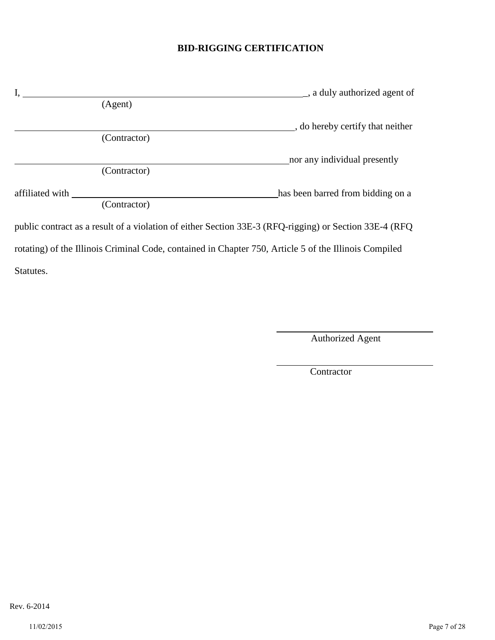#### **BID-RIGGING CERTIFICATION**

| I,              |              | , a duly authorized agent of                                                                           |
|-----------------|--------------|--------------------------------------------------------------------------------------------------------|
|                 | (Agent)      |                                                                                                        |
|                 |              | , do hereby certify that neither                                                                       |
|                 | (Contractor) |                                                                                                        |
|                 |              | nor any individual presently                                                                           |
|                 | (Contractor) |                                                                                                        |
| affiliated with | (Contractor) | has been barred from bidding on a                                                                      |
|                 |              | public contract as a result of a violation of either Section 33E-3 (RFQ-rigging) or Section 33E-4 (RFQ |
|                 |              | rotating) of the Illinois Criminal Code, contained in Chapter 750, Article 5 of the Illinois Compiled  |
| Statutes.       |              |                                                                                                        |

Authorized Agent

**Contractor**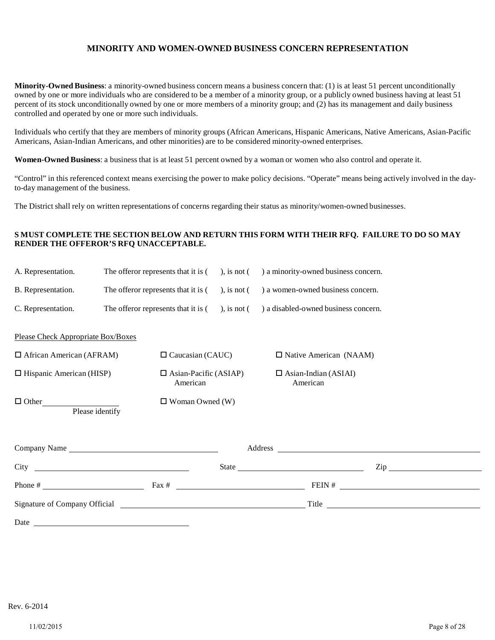#### **MINORITY AND WOMEN-OWNED BUSINESS CONCERN REPRESENTATION**

**Minority-Owned Business**: a minority-owned business concern means a business concern that: (1) is at least 51 percent unconditionally owned by one or more individuals who are considered to be a member of a minority group, or a publicly owned business having at least 51 percent of its stock unconditionally owned by one or more members of a minority group; and (2) has its management and daily business controlled and operated by one or more such individuals.

Individuals who certify that they are members of minority groups (African Americans, Hispanic Americans, Native Americans, Asian-Pacific Americans, Asian-Indian Americans, and other minorities) are to be considered minority-owned enterprises.

**Women-Owned Business**: a business that is at least 51 percent owned by a woman or women who also control and operate it.

"Control" in this referenced context means exercising the power to make policy decisions. "Operate" means being actively involved in the dayto-day management of the business.

The District shall rely on written representations of concerns regarding their status as minority/women-owned businesses.

#### **S MUST COMPLETE THE SECTION BELOW AND RETURN THIS FORM WITH THEIR RFQ. FAILURE TO DO SO MAY RENDER THE OFFEROR'S RFQ UNACCEPTABLE.**

| A. Representation.                            | The offeror represents that it is ( |                                          | $\lambda$ , is not ( | ) a minority-owned business concern.            |        |                  |
|-----------------------------------------------|-------------------------------------|------------------------------------------|----------------------|-------------------------------------------------|--------|------------------|
| B. Representation.                            | The offeror represents that it is ( |                                          | $\lambda$ , is not ( | ) a women-owned business concern.               |        |                  |
| C. Representation.                            | The offeror represents that it is ( |                                          |                      | ), is not () a disabled-owned business concern. |        |                  |
| Please Check Appropriate Box/Boxes            |                                     |                                          |                      |                                                 |        |                  |
| □ African American (AFRAM)                    |                                     | $\square$ Caucasian (CAUC)               |                      | $\Box$ Native American (NAAM)                   |        |                  |
| $\Box$ Hispanic American (HISP)               |                                     | $\Box$ Asian-Pacific (ASIAP)<br>American |                      | $\Box$ Asian-Indian (ASIAI)<br>American         |        |                  |
| $\Box$ Other<br>Please identify               |                                     | $\Box$ Woman Owned (W)                   |                      |                                                 |        |                  |
| Company Name                                  |                                     |                                          |                      |                                                 |        |                  |
|                                               |                                     |                                          |                      |                                                 |        | $\mathsf{Zip}\_$ |
| Phone # $\qquad \qquad$ Fax # $\qquad \qquad$ |                                     |                                          |                      |                                                 | FENW # |                  |
|                                               |                                     |                                          |                      |                                                 |        |                  |
|                                               |                                     |                                          |                      |                                                 |        |                  |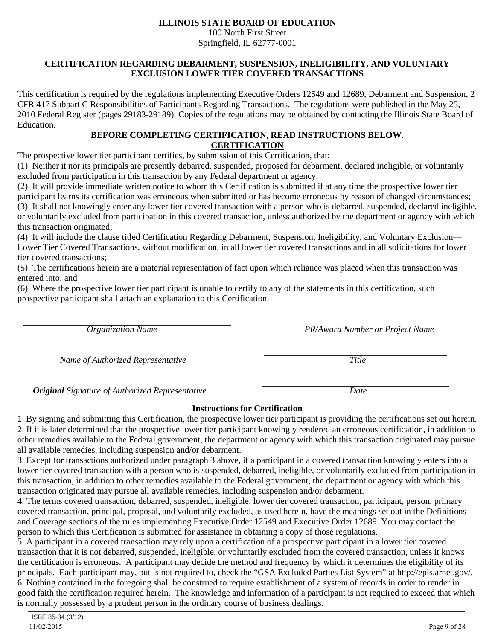#### **ILLINOIS STATE BOARD OF EDUCATION**

100 North First Street Springfield, IL 62777-0001

#### **CERTIFICATION REGARDING DEBARMENT, SUSPENSION, INELIGIBILITY, AND VOLUNTARY EXCLUSION LOWER TIER COVERED TRANSACTIONS**

This certification is required by the regulations implementing Executive Orders 12549 and 12689, Debarment and Suspension, 2 CFR 417 Subpart C Responsibilities of Participants Regarding Transactions. The regulations were published in the May 25, 2010 Federal Register (pages 29183-29189). Copies of the regulations may be obtained by contacting the Illinois State Board of Education.

#### **BEFORE COMPLETING CERTIFICATION, READ INSTRUCTIONS BELOW. CERTIFICATION**

The prospective lower tier participant certifies, by submission of this Certification, that:

(1) Neither it nor its principals are presently debarred, suspended, proposed for debarment, declared ineligible, or voluntarily excluded from participation in this transaction by any Federal department or agency;

(2) It will provide immediate written notice to whom this Certification is submitted if at any time the prospective lower tier participant learns its certification was erroneous when submitted or has become erroneous by reason of changed circumstances; (3) It shall not knowingly enter any lower tier covered transaction with a person who is debarred, suspended, declared ineligible, or voluntarily excluded from participation in this covered transaction, unless authorized by the department or agency with which this transaction originated;

(4) It will include the clause titled Certification Regarding Debarment, Suspension, Ineligibility, and Voluntary Exclusion— Lower Tier Covered Transactions, without modification, in all lower tier covered transactions and in all solicitations for lower tier covered transactions;

(5) The certifications herein are a material representation of fact upon which reliance was placed when this transaction was entered into; and

(6) Where the prospective lower tier participant is unable to certify to any of the statements in this certification, such prospective participant shall attach an explanation to this Certification.

| <b>Organization Name</b>                               | PR/Award Number or Project Name |
|--------------------------------------------------------|---------------------------------|
| Name of Authorized Representative                      | Title                           |
| <b>Original</b> Signature of Authorized Representative | Date                            |

#### **Instructions for Certification**

1. By signing and submitting this Certification, the prospective lower tier participant is providing the certifications set out herein. 2. If it is later determined that the prospective lower tier participant knowingly rendered an erroneous certification, in addition to other remedies available to the Federal government, the department or agency with which this transaction originated may pursue all available remedies, including suspension and/or debarment.

3. Except for transactions authorized under paragraph 3 above, if a participant in a covered transaction knowingly enters into a lower tier covered transaction with a person who is suspended, debarred, ineligible, or voluntarily excluded from participation in this transaction, in addition to other remedies available to the Federal government, the department or agency with which this transaction originated may pursue all available remedies, including suspension and/or debarment.

4. The terms covered transaction, debarred, suspended, ineligible, lower tier covered transaction, participant, person, primary covered transaction, principal, proposal, and voluntarily excluded, as used herein, have the meanings set out in the Definitions and Coverage sections of the rules implementing Executive Order 12549 and Executive Order 12689. You may contact the person to which this Certification is submitted for assistance in obtaining a copy of those regulations.

5. A participant in a covered transaction may rely upon a certification of a prospective participant in a lower tier covered transaction that it is not debarred, suspended, ineligible, or voluntarily excluded from the covered transaction, unless it knows the certification is erroneous. A participant may decide the method and frequency by which it determines the eligibility of its principals. Each participant may, but is not required to, check the "GSA Excluded Parties List System" at http://epls.arnet.gov/. 6. Nothing contained in the foregoing shall be construed to require establishment of a system of records in order to render in good faith the certification required herein. The knowledge and information of a participant is not required to exceed that which is normally possessed by a prudent person in the ordinary course of business dealings.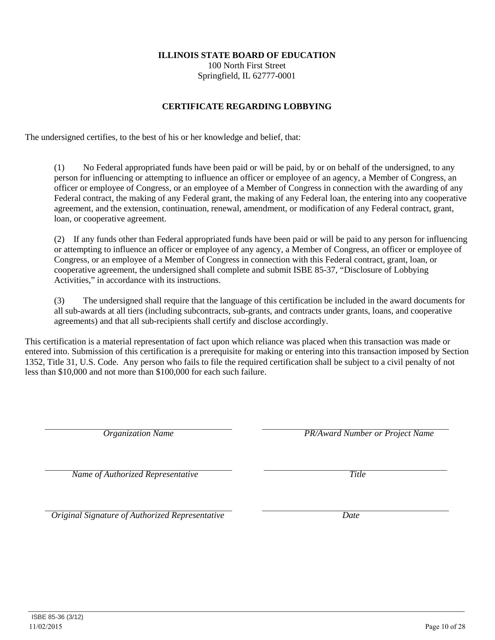# ISBE 85-36 (3/12)

# **CERTIFICATE REGARDING LOBBYING**

**ILLINOIS STATE BOARD OF EDUCATION** 100 North First Street Springfield, IL 62777-0001

The undersigned certifies, to the best of his or her knowledge and belief, that:

(1) No Federal appropriated funds have been paid or will be paid, by or on behalf of the undersigned, to any person for influencing or attempting to influence an officer or employee of an agency, a Member of Congress, an officer or employee of Congress, or an employee of a Member of Congress in connection with the awarding of any Federal contract, the making of any Federal grant, the making of any Federal loan, the entering into any cooperative agreement, and the extension, continuation, renewal, amendment, or modification of any Federal contract, grant, loan, or cooperative agreement.

(2) If any funds other than Federal appropriated funds have been paid or will be paid to any person for influencing or attempting to influence an officer or employee of any agency, a Member of Congress, an officer or employee of Congress, or an employee of a Member of Congress in connection with this Federal contract, grant, loan, or cooperative agreement, the undersigned shall complete and submit ISBE 85-37, "Disclosure of Lobbying Activities," in accordance with its instructions.

(3) The undersigned shall require that the language of this certification be included in the award documents for all sub-awards at all tiers (including subcontracts, sub-grants, and contracts under grants, loans, and cooperative agreements) and that all sub-recipients shall certify and disclose accordingly.

This certification is a material representation of fact upon which reliance was placed when this transaction was made or entered into. Submission of this certification is a prerequisite for making or entering into this transaction imposed by Section 1352, Title 31, U.S. Code. Any person who fails to file the required certification shall be subject to a civil penalty of not less than \$10,000 and not more than \$100,000 for each such failure.

 *Organization Name PR/Award Number or Project Name* 

*Name of Authorized Representative Title*

 *Original Signature of Authorized Representative Date*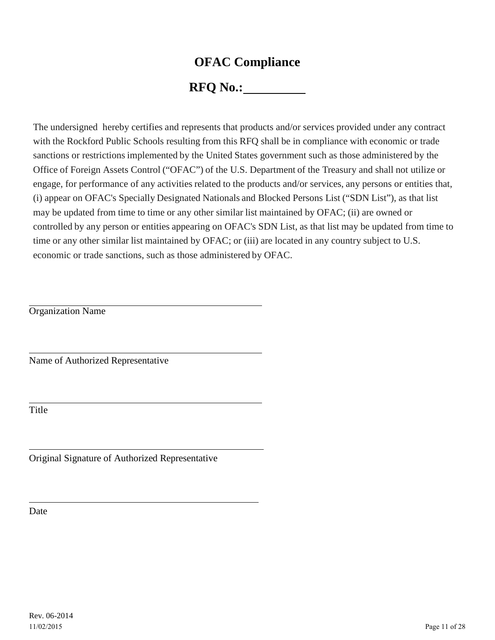# **OFAC Compliance**

# **RFQ No.:**

The undersigned hereby certifies and represents that products and/or services provided under any contract with the Rockford Public Schools resulting from this RFQ shall be in compliance with economic or trade sanctions or restrictions implemented by the United States government such as those administered by the Office of Foreign Assets Control ("OFAC") of the U.S. Department of the Treasury and shall not utilize or engage, for performance of any activities related to the products and/or services, any persons or entities that, (i) appear on OFAC's Specially Designated Nationals and Blocked Persons List ("SDN List"), as that list may be updated from time to time or any other similar list maintained by OFAC; (ii) are owned or controlled by any person or entities appearing on OFAC's SDN List, as that list may be updated from time to time or any other similar list maintained by OFAC; or (iii) are located in any country subject to U.S. economic or trade sanctions, such as those administered by OFAC.

 $\overline{a}$ 

 $\overline{a}$ 

 $\overline{a}$ Organization Name

l Name of Authorized Representative

Title

l

Original Signature of Authorized Representative

Date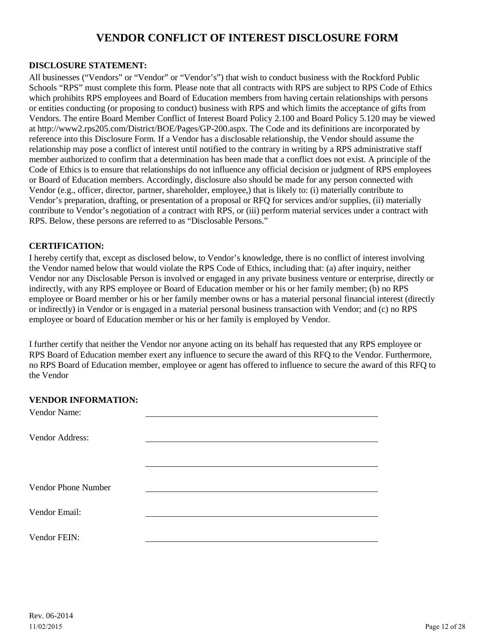## **VENDOR CONFLICT OF INTEREST DISCLOSURE FORM**

#### **DISCLOSURE STATEMENT:**

All businesses ("Vendors" or "Vendor" or "Vendor" s") that wish to conduct business with the Rockford Public Schools "RPS" must complete this form. Please note that all contracts with RPS are subject to RPS Code of Ethics which prohibits RPS employees and Board of Education members from having certain relationships with persons or entities conducting (or proposing to conduct) business with RPS and which limits the acceptance of gifts from Vendors. The entire Board Member Conflict of Interest Board Policy 2.100 and Board Policy 5.120 may be viewed at http://www2.rps205.com/District/BOE/Pages/GP-200.aspx. The Code and its definitions are incorporated by reference into this Disclosure Form. If a Vendor has a disclosable relationship, the Vendor should assume the relationship may pose a conflict of interest until notified to the contrary in writing by a RPS administrative staff member authorized to confirm that a determination has been made that a conflict does not exist. A principle of the Code of Ethics is to ensure that relationships do not influence any official decision or judgment of RPS employees or Board of Education members. Accordingly, disclosure also should be made for any person connected with Vendor (e.g., officer, director, partner, shareholder, employee,) that is likely to: (i) materially contribute to Vendor's preparation, drafting, or presentation of a proposal or RFQ for services and/or supplies, (ii) materially contribute to Vendor's negotiation of a contract with RPS, or (iii) perform material services under a contract with RPS. Below, these persons are referred to as "Disclosable Persons."

#### **CERTIFICATION:**

I hereby certify that, except as disclosed below, to Vendor's knowledge, there is no conflict of interest involving the Vendor named below that would violate the RPS Code of Ethics, including that: (a) after inquiry, neither Vendor nor any Disclosable Person is involved or engaged in any private business venture or enterprise, directly or indirectly, with any RPS employee or Board of Education member or his or her family member; (b) no RPS employee or Board member or his or her family member owns or has a material personal financial interest (directly or indirectly) in Vendor or is engaged in a material personal business transaction with Vendor; and (c) no RPS employee or board of Education member or his or her family is employed by Vendor.

I further certify that neither the Vendor nor anyone acting on its behalf has requested that any RPS employee or RPS Board of Education member exert any influence to secure the award of this RFQ to the Vendor. Furthermore, no RPS Board of Education member, employee or agent has offered to influence to secure the award of this RFQ to the Vendor

#### **VENDOR INFORMATION:**

| Vendor Name:               |  |  |
|----------------------------|--|--|
| Vendor Address:            |  |  |
|                            |  |  |
|                            |  |  |
| <b>Vendor Phone Number</b> |  |  |
| Vendor Email:              |  |  |
| Vendor FEIN:               |  |  |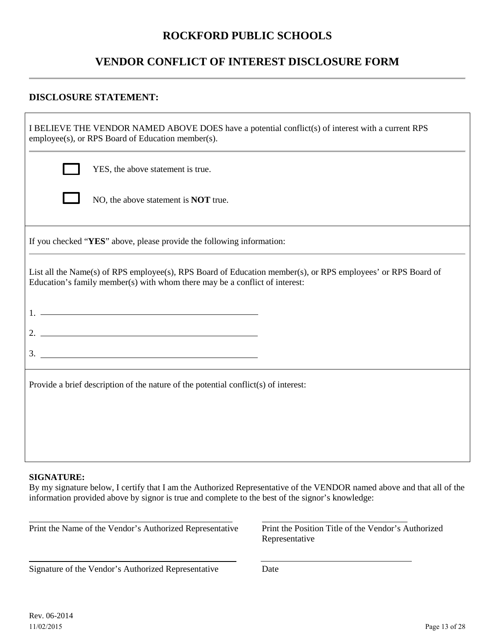#### **ROCKFORD PUBLIC SCHOOLS**

## **VENDOR CONFLICT OF INTEREST DISCLOSURE FORM**

#### **DISCLOSURE STATEMENT:**

ı

| I BELIEVE THE VENDOR NAMED ABOVE DOES have a potential conflict(s) of interest with a current RPS<br>employee(s), or RPS Board of Education member(s).                                                                                                                                                                 |  |  |  |  |
|------------------------------------------------------------------------------------------------------------------------------------------------------------------------------------------------------------------------------------------------------------------------------------------------------------------------|--|--|--|--|
| YES, the above statement is true.                                                                                                                                                                                                                                                                                      |  |  |  |  |
| NO, the above statement is <b>NOT</b> true.                                                                                                                                                                                                                                                                            |  |  |  |  |
| If you checked "YES" above, please provide the following information:                                                                                                                                                                                                                                                  |  |  |  |  |
| List all the Name(s) of RPS employee(s), RPS Board of Education member(s), or RPS employees' or RPS Board of<br>Education's family member(s) with whom there may be a conflict of interest:                                                                                                                            |  |  |  |  |
| $1.$ $\frac{1}{2}$ $\frac{1}{2}$ $\frac{1}{2}$ $\frac{1}{2}$ $\frac{1}{2}$ $\frac{1}{2}$ $\frac{1}{2}$ $\frac{1}{2}$ $\frac{1}{2}$ $\frac{1}{2}$ $\frac{1}{2}$ $\frac{1}{2}$ $\frac{1}{2}$ $\frac{1}{2}$ $\frac{1}{2}$ $\frac{1}{2}$ $\frac{1}{2}$ $\frac{1}{2}$ $\frac{1}{2}$ $\frac{1}{2}$ $\frac{1}{2}$ $\frac{1}{$ |  |  |  |  |
| $2.$ $\overline{\phantom{a}}$                                                                                                                                                                                                                                                                                          |  |  |  |  |
|                                                                                                                                                                                                                                                                                                                        |  |  |  |  |
| Provide a brief description of the nature of the potential conflict(s) of interest:                                                                                                                                                                                                                                    |  |  |  |  |
|                                                                                                                                                                                                                                                                                                                        |  |  |  |  |
|                                                                                                                                                                                                                                                                                                                        |  |  |  |  |
|                                                                                                                                                                                                                                                                                                                        |  |  |  |  |

#### **SIGNATURE:**

By my signature below, I certify that I am the Authorized Representative of the VENDOR named above and that all of the information provided above by signor is true and complete to the best of the signor's knowledge:

 $\overline{a}$ Print the Name of the Vendor's Authorized Representative Print the Position Title of the Vendor's Authorized

Representative

Signature of the Vendor's Authorized Representative Date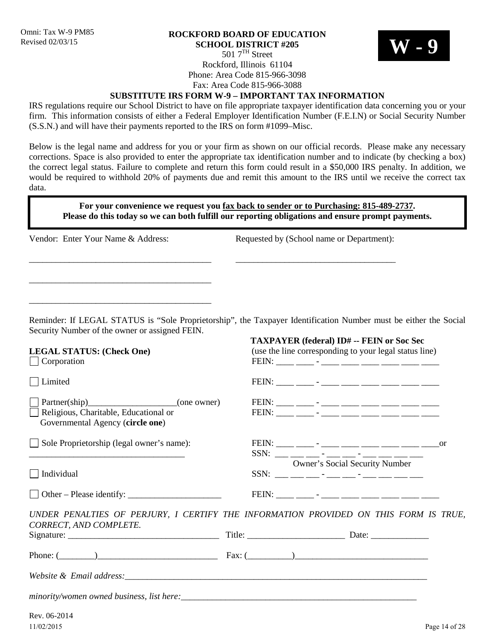#### **ROCKFORD BOARD OF EDUCATION SCHOOL DISTRICT #205**

 $5017^{\text{TH}}$  Street Rockford, Illinois 61104 Phone: Area Code 815-966-3098 Fax: Area Code 815-966-3088

#### **SUBSTITUTE IRS FORM W-9 – IMPORTANT TAX INFORMATION**

IRS regulations require our School District to have on file appropriate taxpayer identification data concerning you or your firm. This information consists of either a Federal Employer Identification Number (F.E.I.N) or Social Security Number (S.S.N.) and will have their payments reported to the IRS on form #1099–Misc.

Below is the legal name and address for you or your firm as shown on our official records. Please make any necessary corrections. Space is also provided to enter the appropriate tax identification number and to indicate (by checking a box) the correct legal status. Failure to complete and return this form could result in a \$50,000 IRS penalty. In addition, we would be required to withhold 20% of payments due and remit this amount to the IRS until we receive the correct tax data.

**For your convenience we request you fax back to sender or to Purchasing: 815-489-2737. Please do this today so we can both fulfill our reporting obligations and ensure prompt payments.**

\_\_\_\_\_\_\_\_\_\_\_\_\_\_\_\_\_\_\_\_\_\_\_\_\_\_\_\_\_\_\_\_\_\_\_\_\_\_\_\_\_ \_\_\_\_\_\_\_\_\_\_\_\_\_\_\_\_\_\_\_\_\_\_\_\_\_\_\_\_\_\_\_\_\_\_\_\_

\_\_\_\_\_\_\_\_\_\_\_\_\_\_\_\_\_\_\_\_\_\_\_\_\_\_\_\_\_\_\_\_\_\_\_\_\_\_\_\_\_

\_\_\_\_\_\_\_\_\_\_\_\_\_\_\_\_\_\_\_\_\_\_\_\_\_\_\_\_\_\_\_\_\_\_\_\_\_\_\_\_\_

Vendor: Enter Your Name & Address: Requested by (School name or Department):

Reminder: If LEGAL STATUS is "Sole Proprietorship", the Taxpayer Identification Number must be either the Social Security Number of the owner or assigned FEIN.

| <b>LEGAL STATUS: (Check One)</b><br>$\Box$ Corporation                                                                       | <b>TAXPAYER (federal) ID# -- FEIN or Soc Sec</b><br>(use the line corresponding to your legal status line)                                                                                                                                                                                                                                                                                                                                                                                                                                                                               |  |
|------------------------------------------------------------------------------------------------------------------------------|------------------------------------------------------------------------------------------------------------------------------------------------------------------------------------------------------------------------------------------------------------------------------------------------------------------------------------------------------------------------------------------------------------------------------------------------------------------------------------------------------------------------------------------------------------------------------------------|--|
| $\Box$ Limited                                                                                                               | $\begin{tabular}{c} FEN: \begin{tabular}{@{}c@{}} \quad {\bf \textcolor{red}{\bf \textcolor{green}{\bf \textcolor{green}{\bf \textcolor{blue}{\bf \textcolor{blue}{\bf \textcolor{blue}{\bf \textcolor{blue}{\bf \textcolor{blue}{\bf \textcolor{blue}{\bf \textcolor{blue}{\bf \textcolor{blue}{\bf \textcolor{blue}{\bf \textcolor{blue}{\bf \textcolor{blue}{\bf \textcolor{blue}{\bf \textcolor{blue}{\bf \textcolor{blue}{\bf \textcolor{blue}{\bf \textcolor{blue}{\bf \textcolor{blue}{\bf \textcolor{blue}{\bf \textcolor{blue}{\bf \textcolor{blue}{\bf \textcolor{blue}{\bf \$ |  |
| Partner(ship)_______________________(one owner)<br>Religious, Charitable, Educational or<br>Governmental Agency (circle one) |                                                                                                                                                                                                                                                                                                                                                                                                                                                                                                                                                                                          |  |
| $\Box$ Sole Proprietorship (legal owner's name):                                                                             |                                                                                                                                                                                                                                                                                                                                                                                                                                                                                                                                                                                          |  |
| $\Box$ Individual                                                                                                            | <b>Owner's Social Security Number</b>                                                                                                                                                                                                                                                                                                                                                                                                                                                                                                                                                    |  |
|                                                                                                                              |                                                                                                                                                                                                                                                                                                                                                                                                                                                                                                                                                                                          |  |
| CORRECT, AND COMPLETE.                                                                                                       | UNDER PENALTIES OF PERJURY, I CERTIFY THE INFORMATION PROVIDED ON THIS FORM IS TRUE,                                                                                                                                                                                                                                                                                                                                                                                                                                                                                                     |  |
|                                                                                                                              | Phone: $(\_\_)$                                                                                                                                                                                                                                                                                                                                                                                                                                                                                                                                                                          |  |
|                                                                                                                              |                                                                                                                                                                                                                                                                                                                                                                                                                                                                                                                                                                                          |  |
|                                                                                                                              |                                                                                                                                                                                                                                                                                                                                                                                                                                                                                                                                                                                          |  |
| Rev. 06-2014                                                                                                                 |                                                                                                                                                                                                                                                                                                                                                                                                                                                                                                                                                                                          |  |

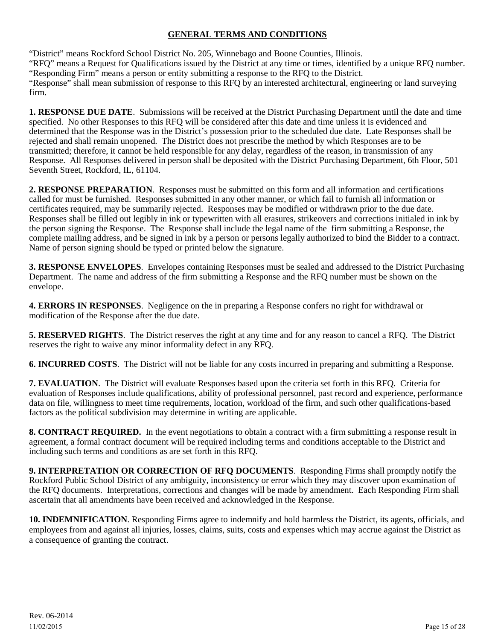#### **GENERAL TERMS AND CONDITIONS**

"District" means Rockford School District No. 205, Winnebago and Boone Counties, Illinois.

"RFQ" means a Request for Qualifications issued by the District at any time or times, identified by a unique RFQ number. "Responding Firm" means a person or entity submitting a response to the RFQ to the District. "Response" shall mean submission of response to this RFQ by an interested architectural, engineering or land surveying firm.

**1. RESPONSE DUE DATE**. Submissions will be received at the District Purchasing Department until the date and time specified. No other Responses to this RFQ will be considered after this date and time unless it is evidenced and determined that the Response was in the District's possession prior to the scheduled due date. Late Responses shall be rejected and shall remain unopened. The District does not prescribe the method by which Responses are to be transmitted; therefore, it cannot be held responsible for any delay, regardless of the reason, in transmission of any Response. All Responses delivered in person shall be deposited with the District Purchasing Department, 6th Floor, 501 Seventh Street, Rockford, IL, 61104.

**2. RESPONSE PREPARATION**. Responses must be submitted on this form and all information and certifications called for must be furnished. Responses submitted in any other manner, or which fail to furnish all information or certificates required, may be summarily rejected. Responses may be modified or withdrawn prior to the due date. Responses shall be filled out legibly in ink or typewritten with all erasures, strikeovers and corrections initialed in ink by the person signing the Response. The Response shall include the legal name of the firm submitting a Response, the complete mailing address, and be signed in ink by a person or persons legally authorized to bind the Bidder to a contract. Name of person signing should be typed or printed below the signature.

**3. RESPONSE ENVELOPES**. Envelopes containing Responses must be sealed and addressed to the District Purchasing Department. The name and address of the firm submitting a Response and the RFQ number must be shown on the envelope.

**4. ERRORS IN RESPONSES**. Negligence on the in preparing a Response confers no right for withdrawal or modification of the Response after the due date.

**5. RESERVED RIGHTS**. The District reserves the right at any time and for any reason to cancel a RFQ. The District reserves the right to waive any minor informality defect in any RFQ.

**6. INCURRED COSTS**. The District will not be liable for any costs incurred in preparing and submitting a Response.

**7. EVALUATION**. The District will evaluate Responses based upon the criteria set forth in this RFQ. Criteria for evaluation of Responses include qualifications, ability of professional personnel, past record and experience, performance data on file, willingness to meet time requirements, location, workload of the firm, and such other qualifications-based factors as the political subdivision may determine in writing are applicable.

**8. CONTRACT REQUIRED.** In the event negotiations to obtain a contract with a firm submitting a response result in agreement, a formal contract document will be required including terms and conditions acceptable to the District and including such terms and conditions as are set forth in this RFQ.

**9. INTERPRETATION OR CORRECTION OF RFQ DOCUMENTS**. Responding Firms shall promptly notify the Rockford Public School District of any ambiguity, inconsistency or error which they may discover upon examination of the RFQ documents. Interpretations, corrections and changes will be made by amendment. Each Responding Firm shall ascertain that all amendments have been received and acknowledged in the Response.

**10. INDEMNIFICATION**. Responding Firms agree to indemnify and hold harmless the District, its agents, officials, and employees from and against all injuries, losses, claims, suits, costs and expenses which may accrue against the District as a consequence of granting the contract.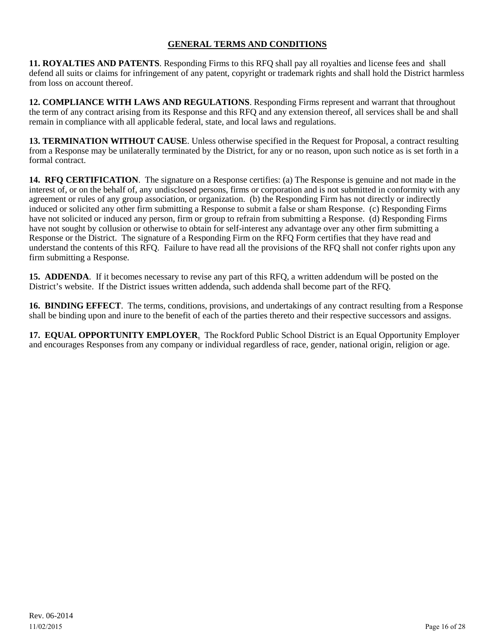#### **GENERAL TERMS AND CONDITIONS**

**11. ROYALTIES AND PATENTS**. Responding Firms to this RFQ shall pay all royalties and license fees and shall defend all suits or claims for infringement of any patent, copyright or trademark rights and shall hold the District harmless from loss on account thereof.

**12. COMPLIANCE WITH LAWS AND REGULATIONS**. Responding Firms represent and warrant that throughout the term of any contract arising from its Response and this RFQ and any extension thereof, all services shall be and shall remain in compliance with all applicable federal, state, and local laws and regulations.

**13. TERMINATION WITHOUT CAUSE**. Unless otherwise specified in the Request for Proposal, a contract resulting from a Response may be unilaterally terminated by the District, for any or no reason, upon such notice as is set forth in a formal contract.

**14. RFQ CERTIFICATION**. The signature on a Response certifies: (a) The Response is genuine and not made in the interest of, or on the behalf of, any undisclosed persons, firms or corporation and is not submitted in conformity with any agreement or rules of any group association, or organization. (b) the Responding Firm has not directly or indirectly induced or solicited any other firm submitting a Response to submit a false or sham Response. (c) Responding Firms have not solicited or induced any person, firm or group to refrain from submitting a Response. (d) Responding Firms have not sought by collusion or otherwise to obtain for self-interest any advantage over any other firm submitting a Response or the District. The signature of a Responding Firm on the RFQ Form certifies that they have read and understand the contents of this RFQ. Failure to have read all the provisions of the RFQ shall not confer rights upon any firm submitting a Response.

**15. ADDENDA**. If it becomes necessary to revise any part of this RFQ, a written addendum will be posted on the District's website. If the District issues written addenda, such addenda shall become part of the RFQ.

**16. BINDING EFFECT**. The terms, conditions, provisions, and undertakings of any contract resulting from a Response shall be binding upon and inure to the benefit of each of the parties thereto and their respective successors and assigns.

**17. EQUAL OPPORTUNITY EMPLOYER**. The Rockford Public School District is an Equal Opportunity Employer and encourages Responses from any company or individual regardless of race, gender, national origin, religion or age.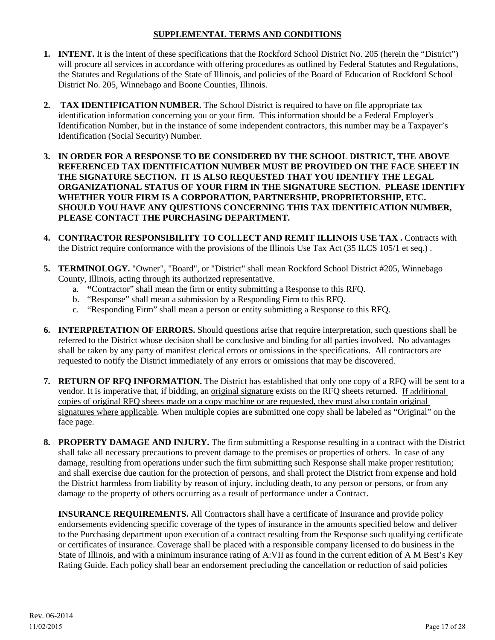- **1. INTENT.** It is the intent of these specifications that the Rockford School District No. 205 (herein the "District") will procure all services in accordance with offering procedures as outlined by Federal Statutes and Regulations, the Statutes and Regulations of the State of Illinois, and policies of the Board of Education of Rockford School District No. 205, Winnebago and Boone Counties, Illinois.
- **2. TAX IDENTIFICATION NUMBER.** The School District is required to have on file appropriate tax identification information concerning you or your firm. This information should be a Federal Employer's Identification Number, but in the instance of some independent contractors, this number may be a Taxpayer's Identification (Social Security) Number.
- **3. IN ORDER FOR A RESPONSE TO BE CONSIDERED BY THE SCHOOL DISTRICT, THE ABOVE REFERENCED TAX IDENTIFICATION NUMBER MUST BE PROVIDED ON THE FACE SHEET IN THE SIGNATURE SECTION. IT IS ALSO REQUESTED THAT YOU IDENTIFY THE LEGAL ORGANIZATIONAL STATUS OF YOUR FIRM IN THE SIGNATURE SECTION. PLEASE IDENTIFY WHETHER YOUR FIRM IS A CORPORATION, PARTNERSHIP, PROPRIETORSHIP, ETC. SHOULD YOU HAVE ANY QUESTIONS CONCERNING THIS TAX IDENTIFICATION NUMBER, PLEASE CONTACT THE PURCHASING DEPARTMENT.**
- **4. CONTRACTOR RESPONSIBILITY TO COLLECT AND REMIT ILLINOIS USE TAX .** Contracts with the District require conformance with the provisions of the Illinois Use Tax Act (35 ILCS 105/1 et seq.) .
- **5. TERMINOLOGY.** "Owner", "Board", or "District" shall mean Rockford School District #205, Winnebago County, Illinois, acting through its authorized representative.
	- a. **"**Contractor" shall mean the firm or entity submitting a Response to this RFQ.
	- b. "Response" shall mean a submission by a Responding Firm to this RFQ.
	- c. "Responding Firm" shall mean a person or entity submitting a Response to this RFQ.
- **6. INTERPRETATION OF ERRORS.** Should questions arise that require interpretation, such questions shall be referred to the District whose decision shall be conclusive and binding for all parties involved. No advantages shall be taken by any party of manifest clerical errors or omissions in the specifications. All contractors are requested to notify the District immediately of any errors or omissions that may be discovered.
- **7. RETURN OF RFQ INFORMATION.** The District has established that only one copy of a RFQ will be sent to a vendor. It is imperative that, if bidding, an original signature exists on the RFQ sheets returned. If additional copies of original RFQ sheets made on a copy machine or are requested, they must also contain original signatures where applicable. When multiple copies are submitted one copy shall be labeled as "Original" on the face page.
- **8. PROPERTY DAMAGE AND INJURY.** The firm submitting a Response resulting in a contract with the District shall take all necessary precautions to prevent damage to the premises or properties of others. In case of any damage, resulting from operations under such the firm submitting such Response shall make proper restitution; and shall exercise due caution for the protection of persons, and shall protect the District from expense and hold the District harmless from liability by reason of injury, including death, to any person or persons, or from any damage to the property of others occurring as a result of performance under a Contract.

**INSURANCE REQUIREMENTS.** All Contractors shall have a certificate of Insurance and provide policy endorsements evidencing specific coverage of the types of insurance in the amounts specified below and deliver to the Purchasing department upon execution of a contract resulting from the Response such qualifying certificate or certificates of insurance. Coverage shall be placed with a responsible company licensed to do business in the State of Illinois, and with a minimum insurance rating of A:VII as found in the current edition of A M Best's Key Rating Guide. Each policy shall bear an endorsement precluding the cancellation or reduction of said policies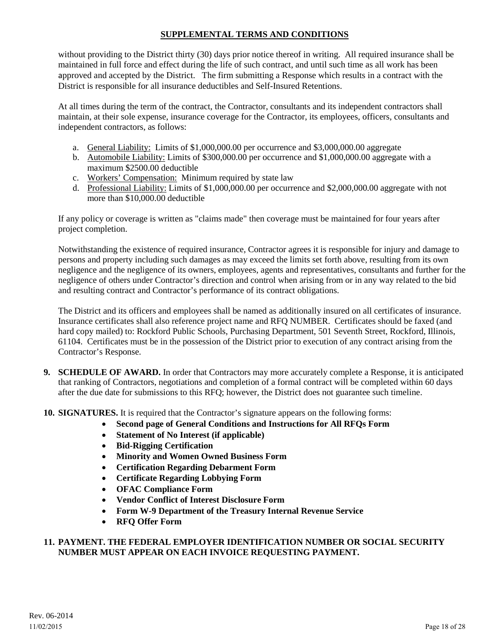without providing to the District thirty (30) days prior notice thereof in writing. All required insurance shall be maintained in full force and effect during the life of such contract, and until such time as all work has been approved and accepted by the District. The firm submitting a Response which results in a contract with the District is responsible for all insurance deductibles and Self-Insured Retentions.

At all times during the term of the contract, the Contractor, consultants and its independent contractors shall maintain, at their sole expense, insurance coverage for the Contractor, its employees, officers, consultants and independent contractors, as follows:

- a. General Liability: Limits of \$1,000,000.00 per occurrence and \$3,000,000.00 aggregate
- b. Automobile Liability: Limits of \$300,000.00 per occurrence and \$1,000,000.00 aggregate with a maximum \$2500.00 deductible
- c. Workers' Compensation: Minimum required by state law
- d. Professional Liability: Limits of \$1,000,000.00 per occurrence and \$2,000,000.00 aggregate with not more than \$10,000.00 deductible

If any policy or coverage is written as "claims made" then coverage must be maintained for four years after project completion.

Notwithstanding the existence of required insurance, Contractor agrees it is responsible for injury and damage to persons and property including such damages as may exceed the limits set forth above, resulting from its own negligence and the negligence of its owners, employees, agents and representatives, consultants and further for the negligence of others under Contractor's direction and control when arising from or in any way related to the bid and resulting contract and Contractor's performance of its contract obligations.

The District and its officers and employees shall be named as additionally insured on all certificates of insurance. Insurance certificates shall also reference project name and RFQ NUMBER. Certificates should be faxed (and hard copy mailed) to: Rockford Public Schools, Purchasing Department, 501 Seventh Street, Rockford, Illinois, 61104. Certificates must be in the possession of the District prior to execution of any contract arising from the Contractor's Response.

- **9. SCHEDULE OF AWARD.** In order that Contractors may more accurately complete a Response, it is anticipated that ranking of Contractors, negotiations and completion of a formal contract will be completed within 60 days after the due date for submissions to this RFQ; however, the District does not guarantee such timeline.
- **10. SIGNATURES.** It is required that the Contractor's signature appears on the following forms:
	- **Second page of General Conditions and Instructions for All RFQs Form** 
		- **Statement of No Interest (if applicable)**
		- **Bid-Rigging Certification**
		- **Minority and Women Owned Business Form**
		- **Certification Regarding Debarment Form**
		- **Certificate Regarding Lobbying Form**
		- **OFAC Compliance Form**
		- **Vendor Conflict of Interest Disclosure Form**
		- **Form W-9 Department of the Treasury Internal Revenue Service**
		- **RFQ Offer Form**

#### **11. PAYMENT. THE FEDERAL EMPLOYER IDENTIFICATION NUMBER OR SOCIAL SECURITY NUMBER MUST APPEAR ON EACH INVOICE REQUESTING PAYMENT.**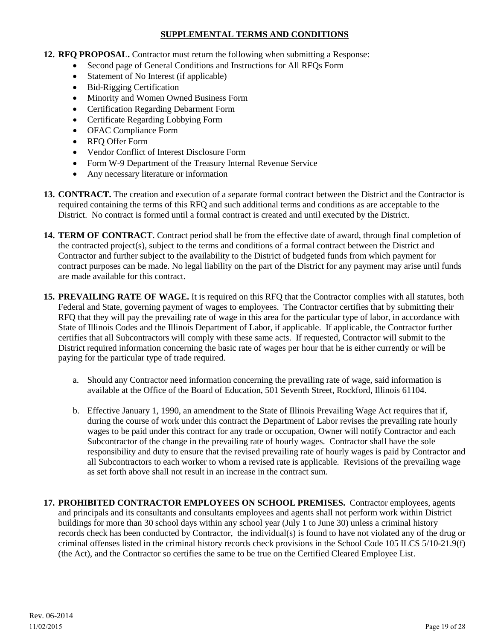- **12. RFQ PROPOSAL.** Contractor must return the following when submitting a Response:
	- Second page of General Conditions and Instructions for All RFQs Form
	- Statement of No Interest (if applicable)
	- Bid-Rigging Certification
	- Minority and Women Owned Business Form
	- Certification Regarding Debarment Form
	- Certificate Regarding Lobbying Form
	- OFAC Compliance Form
	- RFQ Offer Form
	- Vendor Conflict of Interest Disclosure Form
	- Form W-9 Department of the Treasury Internal Revenue Service
	- Any necessary literature or information
- **13. CONTRACT.** The creation and execution of a separate formal contract between the District and the Contractor is required containing the terms of this RFQ and such additional terms and conditions as are acceptable to the District. No contract is formed until a formal contract is created and until executed by the District.
- **14. TERM OF CONTRACT**. Contract period shall be from the effective date of award, through final completion of the contracted project(s), subject to the terms and conditions of a formal contract between the District and Contractor and further subject to the availability to the District of budgeted funds from which payment for contract purposes can be made. No legal liability on the part of the District for any payment may arise until funds are made available for this contract.
- **15. PREVAILING RATE OF WAGE.** It is required on this RFQ that the Contractor complies with all statutes, both Federal and State, governing payment of wages to employees. The Contractor certifies that by submitting their RFQ that they will pay the prevailing rate of wage in this area for the particular type of labor, in accordance with State of Illinois Codes and the Illinois Department of Labor, if applicable. If applicable, the Contractor further certifies that all Subcontractors will comply with these same acts. If requested, Contractor will submit to the District required information concerning the basic rate of wages per hour that he is either currently or will be paying for the particular type of trade required.
	- a. Should any Contractor need information concerning the prevailing rate of wage, said information is available at the Office of the Board of Education, 501 Seventh Street, Rockford, Illinois 61104.
	- b. Effective January 1, 1990, an amendment to the State of Illinois Prevailing Wage Act requires that if, during the course of work under this contract the Department of Labor revises the prevailing rate hourly wages to be paid under this contract for any trade or occupation, Owner will notify Contractor and each Subcontractor of the change in the prevailing rate of hourly wages. Contractor shall have the sole responsibility and duty to ensure that the revised prevailing rate of hourly wages is paid by Contractor and all Subcontractors to each worker to whom a revised rate is applicable. Revisions of the prevailing wage as set forth above shall not result in an increase in the contract sum.
- **17. PROHIBITED CONTRACTOR EMPLOYEES ON SCHOOL PREMISES.** Contractor employees, agents and principals and its consultants and consultants employees and agents shall not perform work within District buildings for more than 30 school days within any school year (July 1 to June 30) unless a criminal history records check has been conducted by Contractor, the individual(s) is found to have not violated any of the drug or criminal offenses listed in the criminal history records check provisions in the School Code 105 ILCS 5/10-21.9(f) (the Act), and the Contractor so certifies the same to be true on the Certified Cleared Employee List.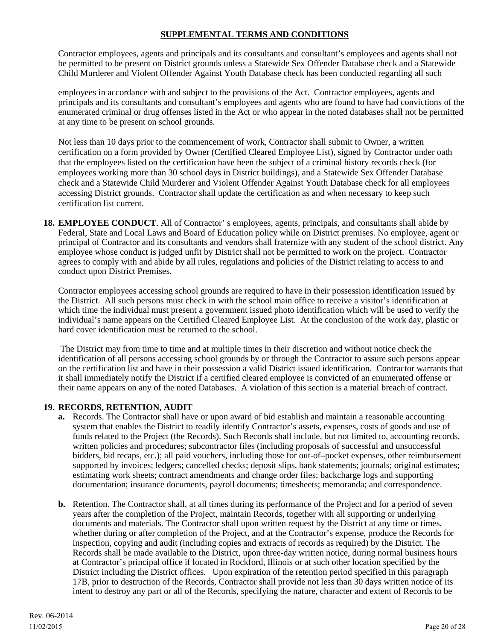Contractor employees, agents and principals and its consultants and consultant's employees and agents shall not be permitted to be present on District grounds unless a Statewide Sex Offender Database check and a Statewide Child Murderer and Violent Offender Against Youth Database check has been conducted regarding all such

employees in accordance with and subject to the provisions of the Act. Contractor employees, agents and principals and its consultants and consultant's employees and agents who are found to have had convictions of the enumerated criminal or drug offenses listed in the Act or who appear in the noted databases shall not be permitted at any time to be present on school grounds.

Not less than 10 days prior to the commencement of work, Contractor shall submit to Owner, a written certification on a form provided by Owner (Certified Cleared Employee List), signed by Contractor under oath that the employees listed on the certification have been the subject of a criminal history records check (for employees working more than 30 school days in District buildings), and a Statewide Sex Offender Database check and a Statewide Child Murderer and Violent Offender Against Youth Database check for all employees accessing District grounds. Contractor shall update the certification as and when necessary to keep such certification list current.

**18. EMPLOYEE CONDUCT**. All of Contractor' s employees, agents, principals, and consultants shall abide by Federal, State and Local Laws and Board of Education policy while on District premises. No employee, agent or principal of Contractor and its consultants and vendors shall fraternize with any student of the school district. Any employee whose conduct is judged unfit by District shall not be permitted to work on the project. Contractor agrees to comply with and abide by all rules, regulations and policies of the District relating to access to and conduct upon District Premises.

Contractor employees accessing school grounds are required to have in their possession identification issued by the District. All such persons must check in with the school main office to receive a visitor's identification at which time the individual must present a government issued photo identification which will be used to verify the individual's name appears on the Certified Cleared Employee List. At the conclusion of the work day, plastic or hard cover identification must be returned to the school.

The District may from time to time and at multiple times in their discretion and without notice check the identification of all persons accessing school grounds by or through the Contractor to assure such persons appear on the certification list and have in their possession a valid District issued identification. Contractor warrants that it shall immediately notify the District if a certified cleared employee is convicted of an enumerated offense or their name appears on any of the noted Databases. A violation of this section is a material breach of contract.

#### **19. RECORDS, RETENTION, AUDIT**

- **a.** Records. The Contractor shall have or upon award of bid establish and maintain a reasonable accounting system that enables the District to readily identify Contractor's assets, expenses, costs of goods and use of funds related to the Project (the Records). Such Records shall include, but not limited to, accounting records, written policies and procedures; subcontractor files (including proposals of successful and unsuccessful bidders, bid recaps, etc.); all paid vouchers, including those for out-of–pocket expenses, other reimbursement supported by invoices; ledgers; cancelled checks; deposit slips, bank statements; journals; original estimates; estimating work sheets; contract amendments and change order files; backcharge logs and supporting documentation; insurance documents, payroll documents; timesheets; memoranda; and correspondence.
- **b.** Retention. The Contractor shall, at all times during its performance of the Project and for a period of seven years after the completion of the Project, maintain Records, together with all supporting or underlying documents and materials. The Contractor shall upon written request by the District at any time or times, whether during or after completion of the Project, and at the Contractor's expense, produce the Records for inspection, copying and audit (including copies and extracts of records as required) by the District. The Records shall be made available to the District, upon three-day written notice, during normal business hours at Contractor's principal office if located in Rockford, Illinois or at such other location specified by the District including the District offices. Upon expiration of the retention period specified in this paragraph 17B, prior to destruction of the Records, Contractor shall provide not less than 30 days written notice of its intent to destroy any part or all of the Records, specifying the nature, character and extent of Records to be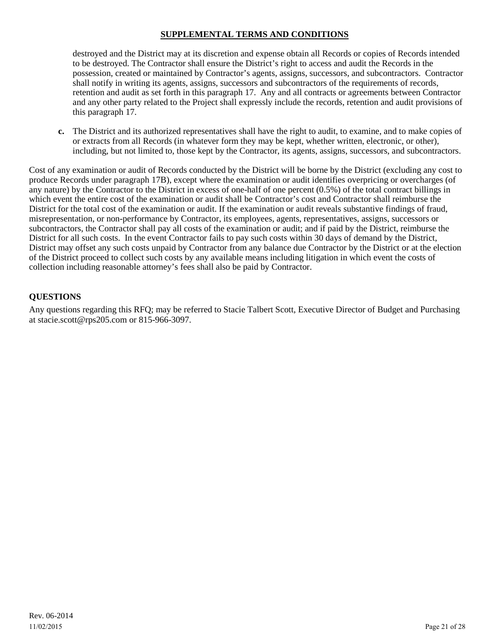destroyed and the District may at its discretion and expense obtain all Records or copies of Records intended to be destroyed. The Contractor shall ensure the District's right to access and audit the Records in the possession, created or maintained by Contractor's agents, assigns, successors, and subcontractors. Contractor shall notify in writing its agents, assigns, successors and subcontractors of the requirements of records, retention and audit as set forth in this paragraph 17. Any and all contracts or agreements between Contractor and any other party related to the Project shall expressly include the records, retention and audit provisions of this paragraph 17.

**c.** The District and its authorized representatives shall have the right to audit, to examine, and to make copies of or extracts from all Records (in whatever form they may be kept, whether written, electronic, or other), including, but not limited to, those kept by the Contractor, its agents, assigns, successors, and subcontractors.

Cost of any examination or audit of Records conducted by the District will be borne by the District (excluding any cost to produce Records under paragraph 17B), except where the examination or audit identifies overpricing or overcharges (of any nature) by the Contractor to the District in excess of one-half of one percent (0.5%) of the total contract billings in which event the entire cost of the examination or audit shall be Contractor's cost and Contractor shall reimburse the District for the total cost of the examination or audit. If the examination or audit reveals substantive findings of fraud, misrepresentation, or non-performance by Contractor, its employees, agents, representatives, assigns, successors or subcontractors, the Contractor shall pay all costs of the examination or audit; and if paid by the District, reimburse the District for all such costs. In the event Contractor fails to pay such costs within 30 days of demand by the District, District may offset any such costs unpaid by Contractor from any balance due Contractor by the District or at the election of the District proceed to collect such costs by any available means including litigation in which event the costs of collection including reasonable attorney's fees shall also be paid by Contractor.

#### **QUESTIONS**

Any questions regarding this RFQ; may be referred to Stacie Talbert Scott, Executive Director of Budget and Purchasing at stacie.scott@rps205.com or 815-966-3097.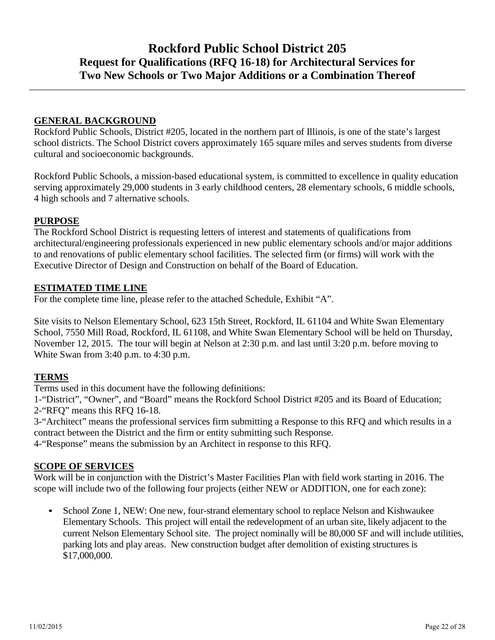# **Rockford Public School District 205 Request for Qualifications (RFQ 16-18) for Architectural Services for Two New Schools or Two Major Additions or a Combination Thereof**

#### **GENERAL BACKGROUND**

Rockford Public Schools, District #205, located in the northern part of Illinois, is one of the state's largest school districts. The School District covers approximately 165 square miles and serves students from diverse cultural and socioeconomic backgrounds.

Rockford Public Schools, a mission-based educational system, is committed to excellence in quality education serving approximately 29,000 students in 3 early childhood centers, 28 elementary schools, 6 middle schools, 4 high schools and 7 alternative schools.

#### **PURPOSE**

The Rockford School District is requesting letters of interest and statements of qualifications from architectural/engineering professionals experienced in new public elementary schools and/or major additions to and renovations of public elementary school facilities. The selected firm (or firms) will work with the Executive Director of Design and Construction on behalf of the Board of Education.

#### **ESTIMATED TIME LINE**

For the complete time line, please refer to the attached Schedule, Exhibit "A".

Site visits to Nelson Elementary School, 623 15th Street, Rockford, IL 61104 and White Swan Elementary School, 7550 Mill Road, Rockford, IL 61108, and White Swan Elementary School will be held on Thursday, November 12, 2015. The tour will begin at Nelson at 2:30 p.m. and last until 3:20 p.m. before moving to White Swan from 3:40 p.m. to 4:30 p.m.

#### **TERMS**

Terms used in this document have the following definitions:

1-"District", "Owner", and "Board" means the Rockford School District #205 and its Board of Education; 2-"RFQ" means this RFQ 16-18.

3-"Architect" means the professional services firm submitting a Response to this RFQ and which results in a contract between the District and the firm or entity submitting such Response.

4-"Response" means the submission by an Architect in response to this RFQ.

#### **SCOPE OF SERVICES**

Work will be in conjunction with the District's Master Facilities Plan with field work starting in 2016. The scope will include two of the following four projects (either NEW or ADDITION, one for each zone):

• School Zone 1, NEW: One new, four-strand elementary school to replace Nelson and Kishwaukee Elementary Schools. This project will entail the redevelopment of an urban site, likely adjacent to the current Nelson Elementary School site. The project nominally will be 80,000 SF and will include utilities, parking lots and play areas. New construction budget after demolition of existing structures is \$17,000,000.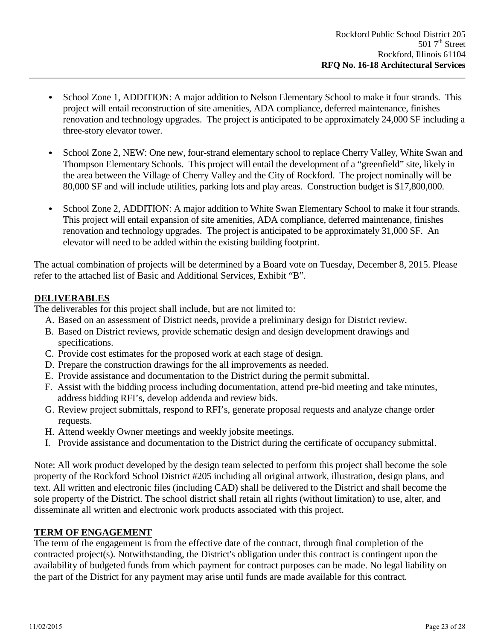- School Zone 1, ADDITION: A major addition to Nelson Elementary School to make it four strands. This project will entail reconstruction of site amenities, ADA compliance, deferred maintenance, finishes renovation and technology upgrades. The project is anticipated to be approximately 24,000 SF including a three-story elevator tower.
- School Zone 2, NEW: One new, four-strand elementary school to replace Cherry Valley, White Swan and Thompson Elementary Schools. This project will entail the development of a "greenfield" site, likely in the area between the Village of Cherry Valley and the City of Rockford. The project nominally will be 80,000 SF and will include utilities, parking lots and play areas. Construction budget is \$17,800,000.
- School Zone 2, ADDITION: A major addition to White Swan Elementary School to make it four strands. This project will entail expansion of site amenities, ADA compliance, deferred maintenance, finishes renovation and technology upgrades. The project is anticipated to be approximately 31,000 SF. An elevator will need to be added within the existing building footprint.

The actual combination of projects will be determined by a Board vote on Tuesday, December 8, 2015. Please refer to the attached list of Basic and Additional Services, Exhibit "B".

#### **DELIVERABLES**

The deliverables for this project shall include, but are not limited to:

- A. Based on an assessment of District needs, provide a preliminary design for District review.
- B. Based on District reviews, provide schematic design and design development drawings and specifications.
- C. Provide cost estimates for the proposed work at each stage of design.
- D. Prepare the construction drawings for the all improvements as needed.
- E. Provide assistance and documentation to the District during the permit submittal.
- F. Assist with the bidding process including documentation, attend pre-bid meeting and take minutes, address bidding RFI's, develop addenda and review bids.
- G. Review project submittals, respond to RFI's, generate proposal requests and analyze change order requests.
- H. Attend weekly Owner meetings and weekly jobsite meetings.
- I. Provide assistance and documentation to the District during the certificate of occupancy submittal.

Note: All work product developed by the design team selected to perform this project shall become the sole property of the Rockford School District #205 including all original artwork, illustration, design plans, and text. All written and electronic files (including CAD) shall be delivered to the District and shall become the sole property of the District. The school district shall retain all rights (without limitation) to use, alter, and disseminate all written and electronic work products associated with this project.

#### **TERM OF ENGAGEMENT**

The term of the engagement is from the effective date of the contract, through final completion of the contracted project(s). Notwithstanding, the District's obligation under this contract is contingent upon the availability of budgeted funds from which payment for contract purposes can be made. No legal liability on the part of the District for any payment may arise until funds are made available for this contract.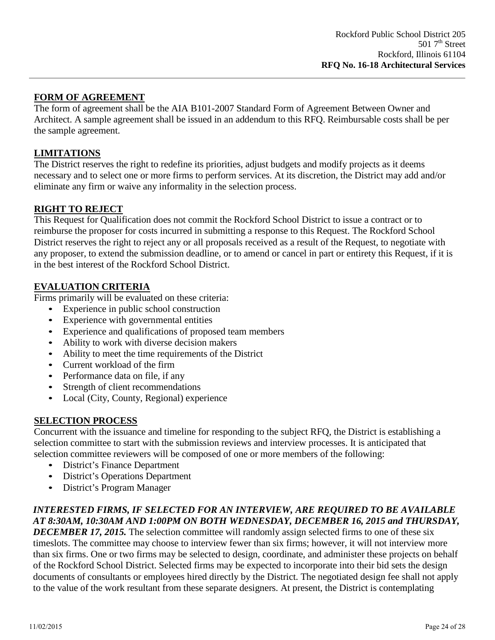#### **FORM OF AGREEMENT**

The form of agreement shall be the AIA B101-2007 Standard Form of Agreement Between Owner and Architect. A sample agreement shall be issued in an addendum to this RFQ. Reimbursable costs shall be per the sample agreement.

#### **LIMITATIONS**

The District reserves the right to redefine its priorities, adjust budgets and modify projects as it deems necessary and to select one or more firms to perform services. At its discretion, the District may add and/or eliminate any firm or waive any informality in the selection process.

#### **RIGHT TO REJECT**

This Request for Qualification does not commit the Rockford School District to issue a contract or to reimburse the proposer for costs incurred in submitting a response to this Request. The Rockford School District reserves the right to reject any or all proposals received as a result of the Request, to negotiate with any proposer, to extend the submission deadline, or to amend or cancel in part or entirety this Request, if it is in the best interest of the Rockford School District.

#### **EVALUATION CRITERIA**

Firms primarily will be evaluated on these criteria:

- Experience in public school construction
- Experience with governmental entities
- Experience and qualifications of proposed team members
- Ability to work with diverse decision makers
- Ability to meet the time requirements of the District
- Current workload of the firm
- Performance data on file, if any
- Strength of client recommendations
- Local (City, County, Regional) experience

#### **SELECTION PROCESS**

Concurrent with the issuance and timeline for responding to the subject RFQ, the District is establishing a selection committee to start with the submission reviews and interview processes. It is anticipated that selection committee reviewers will be composed of one or more members of the following:

- District's Finance Department
- District's Operations Department
- District's Program Manager

#### *INTERESTED FIRMS, IF SELECTED FOR AN INTERVIEW, ARE REQUIRED TO BE AVAILABLE AT 8:30AM, 10:30AM AND 1:00PM ON BOTH WEDNESDAY, DECEMBER 16, 2015 and THURSDAY,*

*DECEMBER 17, 2015.* The selection committee will randomly assign selected firms to one of these six timeslots. The committee may choose to interview fewer than six firms; however, it will not interview more than six firms. One or two firms may be selected to design, coordinate, and administer these projects on behalf of the Rockford School District. Selected firms may be expected to incorporate into their bid sets the design documents of consultants or employees hired directly by the District. The negotiated design fee shall not apply to the value of the work resultant from these separate designers. At present, the District is contemplating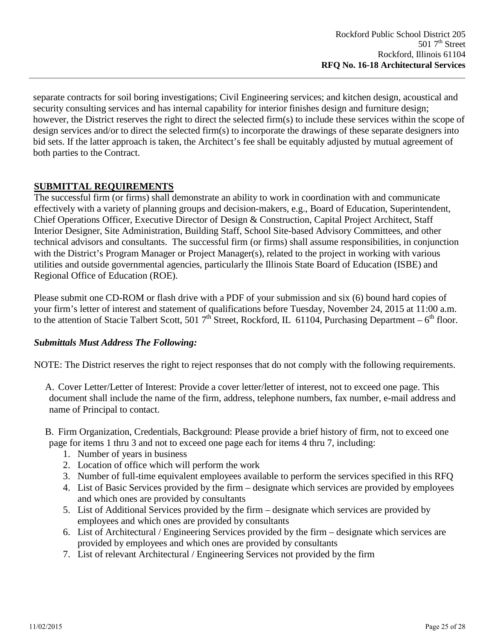separate contracts for soil boring investigations; Civil Engineering services; and kitchen design, acoustical and security consulting services and has internal capability for interior finishes design and furniture design; however, the District reserves the right to direct the selected firm(s) to include these services within the scope of design services and/or to direct the selected firm(s) to incorporate the drawings of these separate designers into bid sets. If the latter approach is taken, the Architect's fee shall be equitably adjusted by mutual agreement of both parties to the Contract.

#### **SUBMITTAL REQUIREMENTS**

The successful firm (or firms) shall demonstrate an ability to work in coordination with and communicate effectively with a variety of planning groups and decision-makers, e.g., Board of Education, Superintendent, Chief Operations Officer, Executive Director of Design & Construction, Capital Project Architect, Staff Interior Designer, Site Administration, Building Staff, School Site-based Advisory Committees, and other technical advisors and consultants. The successful firm (or firms) shall assume responsibilities, in conjunction with the District's Program Manager or Project Manager(s), related to the project in working with various utilities and outside governmental agencies, particularly the Illinois State Board of Education (ISBE) and Regional Office of Education (ROE).

Please submit one CD-ROM or flash drive with a PDF of your submission and six (6) bound hard copies of your firm's letter of interest and statement of qualifications before Tuesday, November 24, 2015 at 11:00 a.m. to the attention of Stacie Talbert Scott, 501  $7<sup>th</sup>$  Street, Rockford, IL 61104, Purchasing Department – 6<sup>th</sup> floor.

#### *Submittals Must Address The Following:*

NOTE: The District reserves the right to reject responses that do not comply with the following requirements.

- A. Cover Letter/Letter of Interest: Provide a cover letter/letter of interest, not to exceed one page. This document shall include the name of the firm, address, telephone numbers, fax number, e-mail address and name of Principal to contact.
- B. Firm Organization, Credentials, Background: Please provide a brief history of firm, not to exceed one page for items 1 thru 3 and not to exceed one page each for items 4 thru 7, including:
	- 1. Number of years in business
	- 2. Location of office which will perform the work
	- 3. Number of full-time equivalent employees available to perform the services specified in this RFQ
	- 4. List of Basic Services provided by the firm designate which services are provided by employees and which ones are provided by consultants
	- 5. List of Additional Services provided by the firm designate which services are provided by employees and which ones are provided by consultants
	- 6. List of Architectural / Engineering Services provided by the firm designate which services are provided by employees and which ones are provided by consultants
	- 7. List of relevant Architectural / Engineering Services not provided by the firm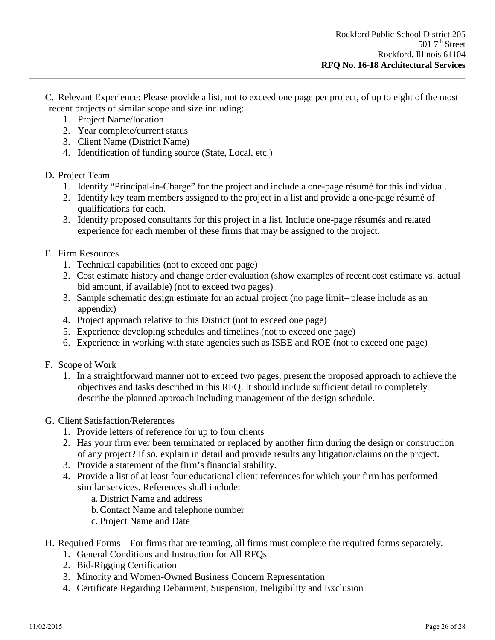- C. Relevant Experience: Please provide a list, not to exceed one page per project, of up to eight of the most recent projects of similar scope and size including:
	- 1. Project Name/location
	- 2. Year complete/current status
	- 3. Client Name (District Name)
	- 4. Identification of funding source (State, Local, etc.)

#### D. Project Team

- 1. Identify "Principal-in-Charge" for the project and include a one-page résumé for this individual.
- 2. Identify key team members assigned to the project in a list and provide a one-page résumé of qualifications for each.
- 3. Identify proposed consultants for this project in a list. Include one-page résumés and related experience for each member of these firms that may be assigned to the project.
- E. Firm Resources
	- 1. Technical capabilities (not to exceed one page)
	- 2. Cost estimate history and change order evaluation (show examples of recent cost estimate vs. actual bid amount, if available) (not to exceed two pages)
	- 3. Sample schematic design estimate for an actual project (no page limit– please include as an appendix)
	- 4. Project approach relative to this District (not to exceed one page)
	- 5. Experience developing schedules and timelines (not to exceed one page)
	- 6. Experience in working with state agencies such as ISBE and ROE (not to exceed one page)
- F. Scope of Work
	- 1. In a straightforward manner not to exceed two pages, present the proposed approach to achieve the objectives and tasks described in this RFQ. It should include sufficient detail to completely describe the planned approach including management of the design schedule.
- G. Client Satisfaction/References
	- 1. Provide letters of reference for up to four clients
	- 2. Has your firm ever been terminated or replaced by another firm during the design or construction of any project? If so, explain in detail and provide results any litigation/claims on the project.
	- 3. Provide a statement of the firm's financial stability.
	- 4. Provide a list of at least four educational client references for which your firm has performed similar services. References shall include:
		- a. District Name and address
		- b.Contact Name and telephone number
		- c. Project Name and Date
- H. Required Forms For firms that are teaming, all firms must complete the required forms separately.
	- 1. General Conditions and Instruction for All RFQs
	- 2. Bid-Rigging Certification
	- 3. Minority and Women-Owned Business Concern Representation
	- 4. Certificate Regarding Debarment, Suspension, Ineligibility and Exclusion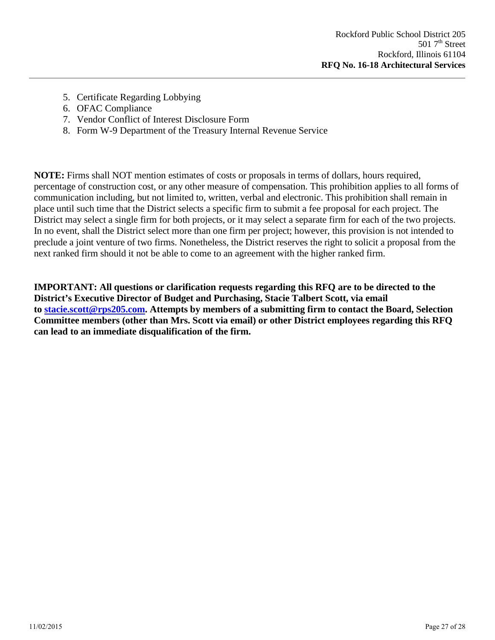- 5. Certificate Regarding Lobbying
- 6. OFAC Compliance
- 7. Vendor Conflict of Interest Disclosure Form
- 8. Form W-9 Department of the Treasury Internal Revenue Service

**NOTE:** Firms shall NOT mention estimates of costs or proposals in terms of dollars, hours required, percentage of construction cost, or any other measure of compensation. This prohibition applies to all forms of communication including, but not limited to, written, verbal and electronic. This prohibition shall remain in place until such time that the District selects a specific firm to submit a fee proposal for each project. The District may select a single firm for both projects, or it may select a separate firm for each of the two projects. In no event, shall the District select more than one firm per project; however, this provision is not intended to preclude a joint venture of two firms. Nonetheless, the District reserves the right to solicit a proposal from the next ranked firm should it not be able to come to an agreement with the higher ranked firm.

**IMPORTANT: All questions or clarification requests regarding this RFQ are to be directed to the District's Executive Director of Budget and Purchasing, Stacie Talbert Scott, via email to [stacie.scott@rps205.com.](mailto:stacie.scott@rps205.com) Attempts by members of a submitting firm to contact the Board, Selection Committee members (other than Mrs. Scott via email) or other District employees regarding this RFQ can lead to an immediate disqualification of the firm.**